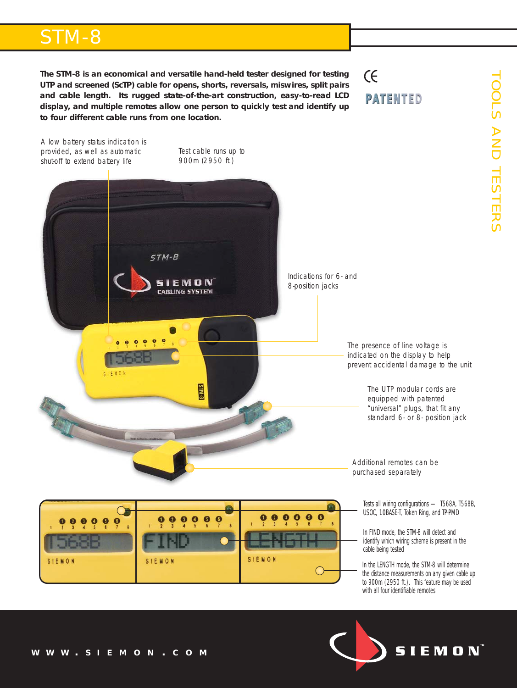# STM-8

**The STM-8 is an economical and versatile hand-held tester designed for testing UTP and screened (ScTP) cable for opens, shorts, reversals, miswires, split pairs and cable length. Its rugged state-of-the-art construction, easy-to-read LCD display, and multiple remotes allow one person to quickly test and identify up to four different cable runs from one location.** 

## $(f)$ **PATENTED**



*In the LENGTH mode, the STM-8 will determine the distance measurements on any given cable up to 900m (2950 ft.). This feature may be used with all four identifiable remotes*

**SIEMON** 



SIEMON

SIEMON

SIEMON